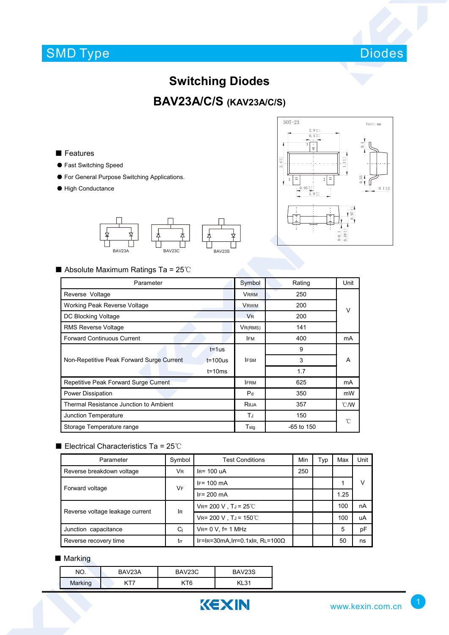## SMD Type



## **Switching Diodes**

### **BAV23A/C/S (KAV23A/C/S)**

- Features
- Fast Switching Speed
- For General Purpose Switching Applications.
- High Conductance





#### ■ Absolute Maximum Ratings Ta = 25℃

| Parameter                                 |                |             | Rating     | Unit           |  |
|-------------------------------------------|----------------|-------------|------------|----------------|--|
| Reverse Voltage                           |                | <b>VRRM</b> | 250        |                |  |
| Working Peak Reverse Voltage              |                |             | 200        | $\vee$         |  |
| DC Blocking Voltage                       |                |             | 200        |                |  |
| RMS Reverse Voltage                       |                |             | 141        |                |  |
| Forward Continuous Current                |                | <b>IFM</b>  | 400        | mA             |  |
|                                           | $t = 1$ us     |             | 9          | A              |  |
| Non-Repetitive Peak Forward Surge Current | $t = 100$ us   | <b>IFSM</b> | 3          |                |  |
|                                           | $t = 10ms$     |             | 1.7        |                |  |
| Repetitive Peak Forward Surge Current     | <b>IFRM</b>    | 625         | mA         |                |  |
| Power Dissipation                         | P <sub>d</sub> | 350         | mW         |                |  |
| Thermal Resistance Junction to Ambient    |                | Reja        | 357        | $^{\circ}$ C/W |  |
| Junction Temperature                      |                |             | 150        | °C             |  |
| Storage Temperature range                 |                |             | -65 to 150 |                |  |

#### ■ Electrical Characteristics Ta = 25℃

| Parameter                       | Symbol    | <b>Test Conditions</b>                  | Min | Typ | Max  | Unit |
|---------------------------------|-----------|-----------------------------------------|-----|-----|------|------|
| Reverse breakdown voltage       | <b>VR</b> | $IR = 100$ uA                           | 250 |     |      |      |
| Forward voltage                 | <b>VF</b> | $IF = 100 \text{ mA}$                   |     |     |      |      |
|                                 |           | $IF = 200 \text{ mA}$                   |     |     | 1.25 |      |
| Reverse voltage leakage current | <b>IR</b> | $V_{R} = 200 V$ , TJ = 25°C             |     |     | 100  | nA   |
|                                 |           | $V_R = 200 V$ , TJ = 150℃               |     |     | 100  | uA   |
| Junction capacitance            | Ci        | $V_{R} = 0 V$ , f= 1 MHz                |     |     | 5    | рF   |
| Reverse recovery time           | trr       | IF=IR=30mA, Irr=0.1xIR, $R = 100\Omega$ |     |     | 50   | ns   |

#### ■ Marking

| NO.     | 23A<br>RAV. | BAV23C | 23S<br>6A) |
|---------|-------------|--------|------------|
| Marking |             |        |            |